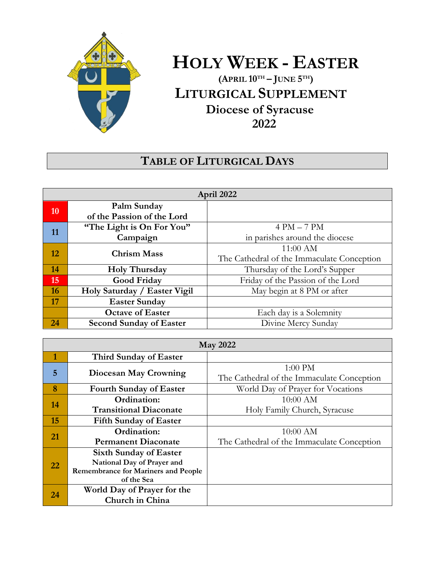

# **HOLY WEEK - EASTER**

**(APRIL 10TH – JUNE 5 TH) LITURGICAL SUPPLEMENT Diocese of Syracuse 2022**

## **TABLE OF LITURGICAL DAYS**

| April 2022 |                                |                                            |
|------------|--------------------------------|--------------------------------------------|
| 10         | Palm Sunday                    |                                            |
|            | of the Passion of the Lord     |                                            |
| 11         | "The Light is On For You"      | $4 PM - 7 PM$                              |
|            | Campaign                       | in parishes around the diocese             |
| 12         | <b>Chrism Mass</b>             | $11:00$ AM                                 |
|            |                                | The Cathedral of the Immaculate Conception |
| 14         | <b>Holy Thursday</b>           | Thursday of the Lord's Supper              |
| 15         | Good Friday                    | Friday of the Passion of the Lord          |
| <b>16</b>  | Holy Saturday / Easter Vigil   | May begin at 8 PM or after                 |
| 17         | <b>Easter Sunday</b>           |                                            |
|            | <b>Octave of Easter</b>        | Each day is a Solemnity                    |
| 24         | <b>Second Sunday of Easter</b> | Divine Mercy Sunday                        |

| <b>May 2022</b> |                                            |                                            |  |  |
|-----------------|--------------------------------------------|--------------------------------------------|--|--|
| 1               | Third Sunday of Easter                     |                                            |  |  |
| 5               | Diocesan May Crowning                      | $1:00$ PM                                  |  |  |
|                 |                                            | The Cathedral of the Immaculate Conception |  |  |
| 8               | <b>Fourth Sunday of Easter</b>             | World Day of Prayer for Vocations          |  |  |
| 14              | Ordination:                                | $10:00$ AM                                 |  |  |
|                 | <b>Transitional Diaconate</b>              | Holy Family Church, Syracuse               |  |  |
| 15              | <b>Fifth Sunday of Easter</b>              |                                            |  |  |
| 21              | Ordination:                                | $10:00$ AM                                 |  |  |
|                 | <b>Permanent Diaconate</b>                 | The Cathedral of the Immaculate Conception |  |  |
| 22              | <b>Sixth Sunday of Easter</b>              |                                            |  |  |
|                 | National Day of Prayer and                 |                                            |  |  |
|                 | <b>Remembrance for Mariners and People</b> |                                            |  |  |
|                 | of the Sea                                 |                                            |  |  |
| 24              | World Day of Prayer for the                |                                            |  |  |
|                 | Church in China                            |                                            |  |  |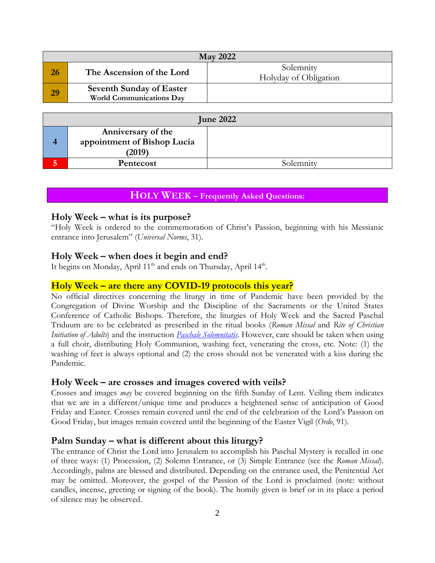| <b>May 2022</b> |                                                                    |                                    |  |  |
|-----------------|--------------------------------------------------------------------|------------------------------------|--|--|
|                 | The Ascension of the Lord                                          | Solemnity<br>Holyday of Obligation |  |  |
| 29              | <b>Seventh Sunday of Easter</b><br><b>World Communications Day</b> |                                    |  |  |

| <b>June 2022</b> |                                                             |           |  |  |
|------------------|-------------------------------------------------------------|-----------|--|--|
|                  | Anniversary of the<br>appointment of Bishop Lucia<br>(2019) |           |  |  |
|                  | Pentecost                                                   | Solemnity |  |  |

## **HOLY WEEK – Frequently Asked Questions:**

### **Holy Week – what is its purpose?**

"Holy Week is ordered to the commemoration of Christ's Passion, beginning with his Messianic entrance into Jerusalem" (*Universal Norms*, 31).

### **Holy Week – when does it begin and end?**

It begins on Monday, April 11<sup>th</sup> and ends on Thursday, April 14<sup>th</sup>.

### **Holy Week – are there any COVID-19 protocols this year?**

No official directives concerning the liturgy in time of Pandemic have been provided by the Congregation of Divine Worship and the Discipline of the Sacraments or the United States Conference of Catholic Bishops. Therefore, the liturgies of Holy Week and the Sacred Paschal Triduum are to be celebrated as prescribed in the ritual books (*Roman Missal* and *Rite of Christian Initiation of Adults*) and the instruction *Paschale [Solemnitatis](https://www.ewtn.com/catholicism/library/preparation-and-celebration-of-the-easter-feasts-2169)*. However, care should be taken when using a full choir, distributing Holy Communion, washing feet, venerating the cross, etc. Note: (1) the washing of feet is always optional and (2) the cross should not be venerated with a kiss during the Pandemic.

#### **Holy Week – are crosses and images covered with veils?**

Crosses and images *may* be covered beginning on the fifth Sunday of Lent. Veiling them indicates that we are in a different/unique time and produces a heightened sense of anticipation of Good Friday and Easter. Crosses remain covered until the end of the celebration of the Lord's Passion on Good Friday, but images remain covered until the beginning of the Easter Vigil (*Ordo*, 91).

## **Palm Sunday – what is different about this liturgy?**

The entrance of Christ the Lord into Jerusalem to accomplish his Paschal Mystery is recalled in one of three ways: (1) Procession, (2) Solemn Entrance, or (3) Simple Entrance (see the *Roman Missal*). Accordingly, palms are blessed and distributed. Depending on the entrance used, the Penitential Act may be omitted. Moreover, the gospel of the Passion of the Lord is proclaimed (note: without candles, incense, greeting or signing of the book). The homily given is brief or in its place a period of silence may be observed.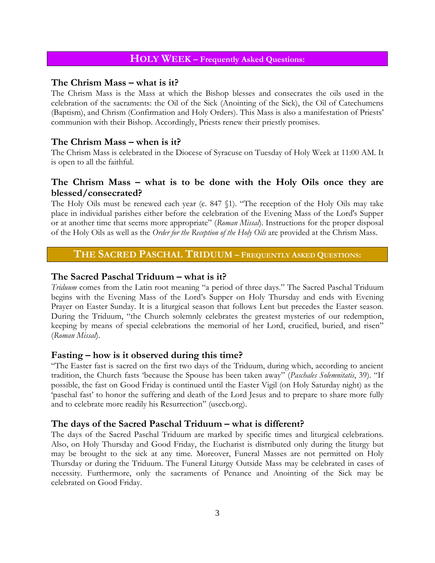## **HOLY WEEK – Frequently Asked Questions:**

## **The Chrism Mass – what is it?**

The Chrism Mass is the Mass at which the Bishop blesses and consecrates the oils used in the celebration of the sacraments: the Oil of the Sick (Anointing of the Sick), the Oil of Catechumens (Baptism), and Chrism (Confirmation and Holy Orders). This Mass is also a manifestation of Priests' communion with their Bishop. Accordingly, Priests renew their priestly promises.

## **The Chrism Mass – when is it?**

The Chrism Mass is celebrated in the Diocese of Syracuse on Tuesday of Holy Week at 11:00 AM. It is open to all the faithful.

## **The Chrism Mass – what is to be done with the Holy Oils once they are blessed/consecrated?**

The Holy Oils must be renewed each year (c. 847 §1). "The reception of the Holy Oils may take place in individual parishes either before the celebration of the Evening Mass of the Lord's Supper or at another time that seems more appropriate" (*Roman Missal*). Instructions for the proper disposal of the Holy Oils as well as the *Order for the Reception of the Holy Oils* are provided at the Chrism Mass.

## **THE SACRED PASCHAL TRIDUUM – FREQUENTLY ASKED QUESTIONS:**

## **The Sacred Paschal Triduum – what is it?**

*Triduum* comes from the Latin root meaning "a period of three days." The Sacred Paschal Triduum begins with the Evening Mass of the Lord's Supper on Holy Thursday and ends with Evening Prayer on Easter Sunday. It is a liturgical season that follows Lent but precedes the Easter season. During the Triduum, "the Church solemnly celebrates the greatest mysteries of our redemption, keeping by means of special celebrations the memorial of her Lord, crucified, buried, and risen" (*Roman Missal*).

## **Fasting – how is it observed during this time?**

"The Easter fast is sacred on the first two days of the Triduum, during which, according to ancient tradition, the Church fasts 'because the Spouse has been taken away" (*Paschales Solemnitatis*, 39). "If possible, the fast on Good Friday is continued until the Easter Vigil (on Holy Saturday night) as the 'paschal fast' to honor the suffering and death of the Lord Jesus and to prepare to share more fully and to celebrate more readily his Resurrection" (usccb.org).

## **The days of the Sacred Paschal Triduum – what is different?**

The days of the Sacred Paschal Triduum are marked by specific times and liturgical celebrations. Also, on Holy Thursday and Good Friday, the Eucharist is distributed only during the liturgy but may be brought to the sick at any time. Moreover, Funeral Masses are not permitted on Holy Thursday or during the Triduum. The Funeral Liturgy Outside Mass may be celebrated in cases of necessity. Furthermore, only the sacraments of Penance and Anointing of the Sick may be celebrated on Good Friday.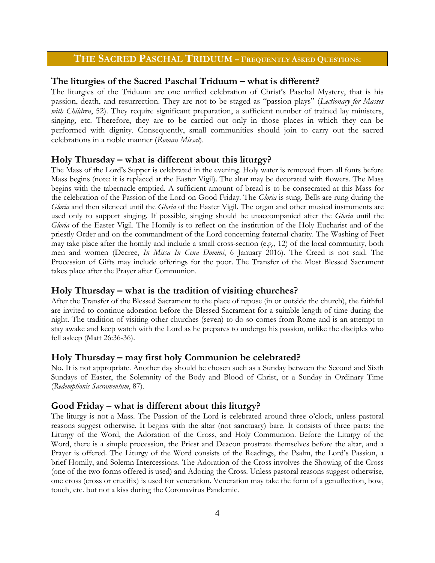## **THE SACRED PASCHAL TRIDUUM – FREQUENTLY ASKED QUESTIONS:**

#### **The liturgies of the Sacred Paschal Triduum – what is different?**

The liturgies of the Triduum are one unified celebration of Christ's Paschal Mystery, that is his passion, death, and resurrection. They are not to be staged as "passion plays" (*Lectionary for Masses*  with Children, 52). They require significant preparation, a sufficient number of trained lay ministers, singing, etc. Therefore, they are to be carried out only in those places in which they can be performed with dignity. Consequently, small communities should join to carry out the sacred celebrations in a noble manner (*Roman Missal*).

#### **Holy Thursday – what is different about this liturgy?**

The Mass of the Lord's Supper is celebrated in the evening. Holy water is removed from all fonts before Mass begins (note: it is replaced at the Easter Vigil). The altar may be decorated with flowers. The Mass begins with the tabernacle emptied. A sufficient amount of bread is to be consecrated at this Mass for the celebration of the Passion of the Lord on Good Friday. The *Gloria* is sung. Bells are rung during the *Gloria* and then silenced until the *Gloria* of the Easter Vigil. The organ and other musical instruments are used only to support singing. If possible, singing should be unaccompanied after the *Gloria* until the *Gloria* of the Easter Vigil. The Homily is to reflect on the institution of the Holy Eucharist and of the priestly Order and on the commandment of the Lord concerning fraternal charity. The Washing of Feet may take place after the homily and include a small cross-section (e.g., 12) of the local community, both men and women (Decree, *In Missa In Cena Domini*, 6 January 2016). The Creed is not said. The Procession of Gifts may include offerings for the poor. The Transfer of the Most Blessed Sacrament takes place after the Prayer after Communion.

#### **Holy Thursday – what is the tradition of visiting churches?**

After the Transfer of the Blessed Sacrament to the place of repose (in or outside the church), the faithful are invited to continue adoration before the Blessed Sacrament for a suitable length of time during the night. The tradition of visiting other churches (seven) to do so comes from Rome and is an attempt to stay awake and keep watch with the Lord as he prepares to undergo his passion, unlike the disciples who fell asleep (Matt 26:36-36).

#### **Holy Thursday – may first holy Communion be celebrated?**

No. It is not appropriate. Another day should be chosen such as a Sunday between the Second and Sixth Sundays of Easter, the Solemnity of the Body and Blood of Christ, or a Sunday in Ordinary Time (*Redemptionis Sacramentum*, 87).

#### **Good Friday – what is different about this liturgy?**

The liturgy is not a Mass. The Passion of the Lord is celebrated around three o'clock, unless pastoral reasons suggest otherwise. It begins with the altar (not sanctuary) bare. It consists of three parts: the Liturgy of the Word, the Adoration of the Cross, and Holy Communion. Before the Liturgy of the Word, there is a simple procession, the Priest and Deacon prostrate themselves before the altar, and a Prayer is offered. The Liturgy of the Word consists of the Readings, the Psalm, the Lord's Passion, a brief Homily, and Solemn Intercessions. The Adoration of the Cross involves the Showing of the Cross (one of the two forms offered is used) and Adoring the Cross. Unless pastoral reasons suggest otherwise, one cross (cross or crucifix) is used for veneration. Veneration may take the form of a genuflection, bow, touch, etc. but not a kiss during the Coronavirus Pandemic.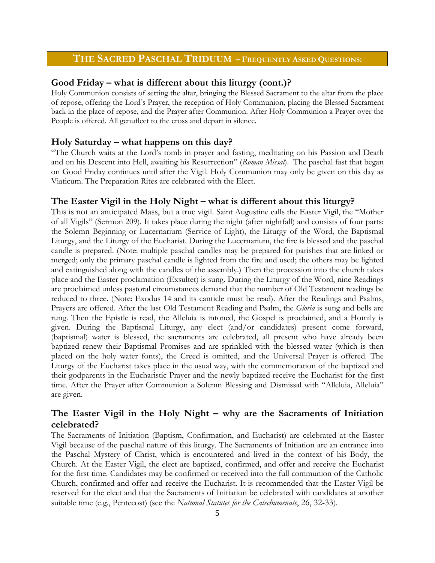## **THE SACRED PASCHAL TRIDUUM – FREQUENTLY ASKED QUESTIONS:**

## **Good Friday – what is different about this liturgy (cont.)?**

Holy Communion consists of setting the altar, bringing the Blessed Sacrament to the altar from the place of repose, offering the Lord's Prayer, the reception of Holy Communion, placing the Blessed Sacrament back in the place of repose, and the Prayer after Communion. After Holy Communion a Prayer over the People is offered. All genuflect to the cross and depart in silence.

## **Holy Saturday – what happens on this day?**

"The Church waits at the Lord's tomb in prayer and fasting, meditating on his Passion and Death and on his Descent into Hell, awaiting his Resurrection" (*Roman Missal*). The paschal fast that began on Good Friday continues until after the Vigil. Holy Communion may only be given on this day as Viaticum. The Preparation Rites are celebrated with the Elect.

### **The Easter Vigil in the Holy Night – what is different about this liturgy?**

This is not an anticipated Mass, but a true vigil. Saint Augustine calls the Easter Vigil, the "Mother of all Vigils" (Sermon 209). It takes place during the night (after nightfall) and consists of four parts: the Solemn Beginning or Lucernarium (Service of Light), the Liturgy of the Word, the Baptismal Liturgy, and the Liturgy of the Eucharist. During the Lucernarium, the fire is blessed and the paschal candle is prepared. (Note: multiple paschal candles may be prepared for parishes that are linked or merged; only the primary paschal candle is lighted from the fire and used; the others may be lighted and extinguished along with the candles of the assembly.) Then the procession into the church takes place and the Easter proclamation (Exsultet) is sung. During the Liturgy of the Word, nine Readings are proclaimed unless pastoral circumstances demand that the number of Old Testament readings be reduced to three. (Note: Exodus 14 and its canticle must be read). After the Readings and Psalms, Prayers are offered. After the last Old Testament Reading and Psalm, the *Gloria* is sung and bells are rung. Then the Epistle is read, the Alleluia is intoned, the Gospel is proclaimed, and a Homily is given. During the Baptismal Liturgy, any elect (and/or candidates) present come forward, (baptismal) water is blessed, the sacraments are celebrated, all present who have already been baptized renew their Baptismal Promises and are sprinkled with the blessed water (which is then placed on the holy water fonts), the Creed is omitted, and the Universal Prayer is offered. The Liturgy of the Eucharist takes place in the usual way, with the commemoration of the baptized and their godparents in the Eucharistic Prayer and the newly baptized receive the Eucharist for the first time. After the Prayer after Communion a Solemn Blessing and Dismissal with "Alleluia, Alleluia" are given.

## **The Easter Vigil in the Holy Night – why are the Sacraments of Initiation celebrated?**

The Sacraments of Initiation (Baptism, Confirmation, and Eucharist) are celebrated at the Easter Vigil because of the paschal nature of this liturgy. The Sacraments of Initiation are an entrance into the Paschal Mystery of Christ, which is encountered and lived in the context of his Body, the Church. At the Easter Vigil, the elect are baptized, confirmed, and offer and receive the Eucharist for the first time. Candidates may be confirmed or received into the full communion of the Catholic Church, confirmed and offer and receive the Eucharist. It is recommended that the Easter Vigil be reserved for the elect and that the Sacraments of Initiation be celebrated with candidates at another suitable time (e.g., Pentecost) (see the *National Statutes for the Catechumenate*, 26, 32-33).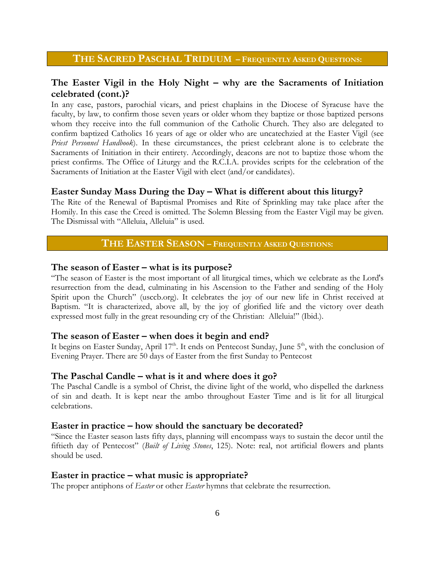## **THE SACRED PASCHAL TRIDUUM – FREQUENTLY ASKED QUESTIONS:**

## **The Easter Vigil in the Holy Night – why are the Sacraments of Initiation celebrated (cont.)?**

In any case, pastors, parochial vicars, and priest chaplains in the Diocese of Syracuse have the faculty, by law, to confirm those seven years or older whom they baptize or those baptized persons whom they receive into the full communion of the Catholic Church. They also are delegated to confirm baptized Catholics 16 years of age or older who are uncatechzied at the Easter Vigil (see *Priest Personnel Handbook*). In these circumstances, the priest celebrant alone is to celebrate the Sacraments of Initiation in their entirety. Accordingly, deacons are not to baptize those whom the priest confirms. The Office of Liturgy and the R.C.I.A. provides scripts for the celebration of the Sacraments of Initiation at the Easter Vigil with elect (and/or candidates).

### **Easter Sunday Mass During the Day – What is different about this liturgy?**

The Rite of the Renewal of Baptismal Promises and Rite of Sprinkling may take place after the Homily. In this case the Creed is omitted. The Solemn Blessing from the Easter Vigil may be given. The Dismissal with "Alleluia, Alleluia" is used.

## **THE EASTER SEASON – FREQUENTLY ASKED QUESTIONS:**

#### **The season of Easter – what is its purpose?**

"The season of Easter is the most important of all liturgical times, which we celebrate as the Lord's resurrection from the dead, culminating in his Ascension to the Father and sending of the Holy Spirit upon the Church" (usccb.org). It celebrates the joy of our new life in Christ received at Baptism. "It is characterized, above all, by the joy of glorified life and the victory over death expressed most fully in the great resounding cry of the Christian: Alleluia!" (Ibid.).

#### **The season of Easter – when does it begin and end?**

It begins on Easter Sunday, April 17<sup>th</sup>. It ends on Pentecost Sunday, June 5<sup>th</sup>, with the conclusion of Evening Prayer. There are 50 days of Easter from the first Sunday to Pentecost

#### **The Paschal Candle – what is it and where does it go?**

The Paschal Candle is a symbol of Christ, the divine light of the world, who dispelled the darkness of sin and death. It is kept near the ambo throughout Easter Time and is lit for all liturgical celebrations.

#### **Easter in practice – how should the sanctuary be decorated?**

"Since the Easter season lasts fifty days, planning will encompass ways to sustain the decor until the fiftieth day of Pentecost" (*Built of Living Stones*, 125). Note: real, not artificial flowers and plants should be used.

#### **Easter in practice – what music is appropriate?**

The proper antiphons of *Easter* or other *Easter* hymns that celebrate the resurrection.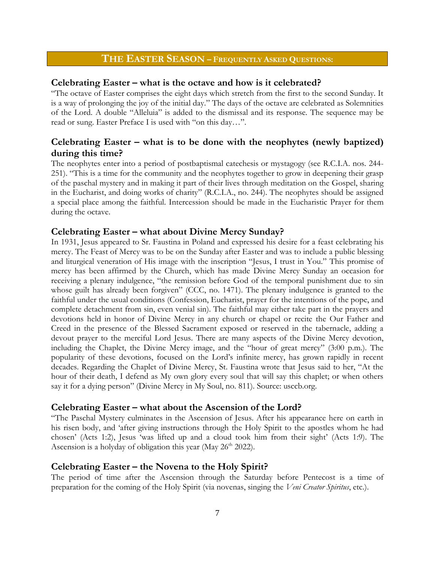## **THE EASTER SEASON – FREQUENTLY ASKED QUESTIONS:**

#### **Celebrating Easter – what is the octave and how is it celebrated?**

"The octave of Easter comprises the eight days which stretch from the first to the second Sunday. It is a way of prolonging the joy of the initial day." The days of the octave are celebrated as Solemnities of the Lord. A double "Alleluia" is added to the dismissal and its response. The sequence may be read or sung. Easter Preface I is used with "on this day…".

## **Celebrating Easter –** what is to be done with the neophytes (newly baptized) **during this time?**

The neophytes enter into a period of postbaptismal catechesis or mystagogy (see R.C.I.A. nos. 244- 251). "This is a time for the community and the neophytes together to grow in deepening their grasp of the paschal mystery and in making it part of their lives through meditation on the Gospel, sharing in the Eucharist, and doing works of charity" (R.C.I.A., no. 244). The neophytes should be assigned a special place among the faithful. Intercession should be made in the Eucharistic Prayer for them during the octave.

### **Celebrating Easter – what about Divine Mercy Sunday?**

In 1931, Jesus appeared to Sr. Faustina in Poland and expressed his desire for a feast celebrating his mercy. The Feast of Mercy was to be on the Sunday after Easter and was to include a public blessing and liturgical veneration of His image with the inscription "Jesus, I trust in You." This promise of mercy has been affirmed by the Church, which has made Divine Mercy Sunday an occasion for receiving a plenary indulgence, "the remission before God of the temporal punishment due to sin whose guilt has already been forgiven" (CCC, no. 1471). The plenary indulgence is granted to the faithful under the usual conditions (Confession, Eucharist, prayer for the intentions of the pope, and complete detachment from sin, even venial sin). The faithful may either take part in the prayers and devotions held in honor of Divine Mercy in any church or chapel or recite the Our Father and Creed in the presence of the Blessed Sacrament exposed or reserved in the tabernacle, adding a devout prayer to the merciful Lord Jesus. There are many aspects of the Divine Mercy devotion, including the Chaplet, the Divine Mercy image, and the "hour of great mercy" (3:00 p.m.). The popularity of these devotions, focused on the Lord's infinite mercy, has grown rapidly in recent decades. Regarding the Chaplet of Divine Mercy, St. Faustina wrote that Jesus said to her, "At the hour of their death, I defend as My own glory every soul that will say this chaplet; or when others say it for a dying person" (Divine Mercy in My Soul, no. 811). Source: usccb.org.

#### **Celebrating Easter – what about the Ascension of the Lord?**

"The Paschal Mystery culminates in the Ascension of Jesus. After his appearance here on earth in his risen body, and 'after giving instructions through the Holy Spirit to the apostles whom he had chosen' (Acts 1:2), Jesus 'was lifted up and a cloud took him from their sight' (Acts 1:9). The Ascension is a holyday of obligation this year (May 26<sup>th</sup> 2022).

#### **Celebrating Easter – the Novena to the Holy Spirit?**

The period of time after the Ascension through the Saturday before Pentecost is a time of preparation for the coming of the Holy Spirit (via novenas, singing the *Veni Creator Spiritus*, etc.).